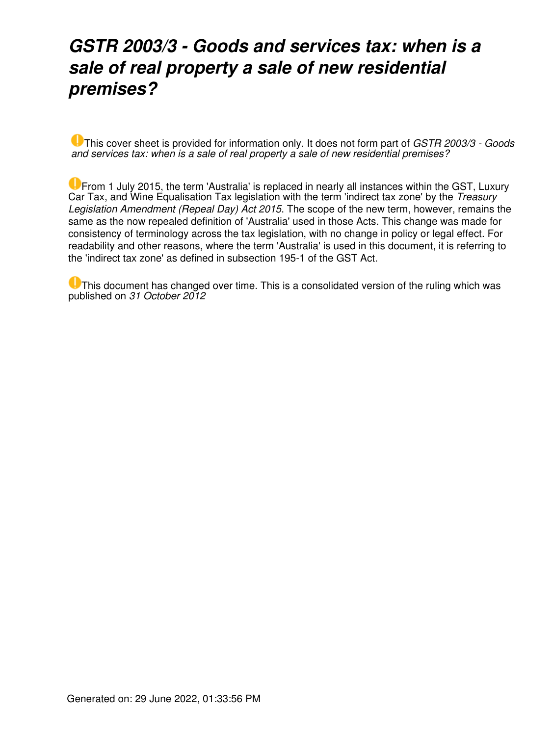### *GSTR 2003/3 - Goods and services tax: when is a sale of real property a sale of new residential premises?*

This cover sheet is provided for information only. It does not form part of *GSTR 2003/3 - Goods and services tax: when is a sale of real property a sale of new residential premises?*

From 1 July 2015, the term 'Australia' is replaced in nearly all instances within the GST, Luxury Car Tax, and Wine Equalisation Tax legislation with the term 'indirect tax zone' by the *Treasury Legislation Amendment (Repeal Day) Act 2015*. The scope of the new term, however, remains the same as the now repealed definition of 'Australia' used in those Acts. This change was made for consistency of terminology across the tax legislation, with no change in policy or legal effect. For readability and other reasons, where the term 'Australia' is used in this document, it is referring to the 'indirect tax zone' as defined in subsection 195-1 of the GST Act.

**U** This document has changed over time. This is a consolidated version of the ruling which was published on *31 October 2012*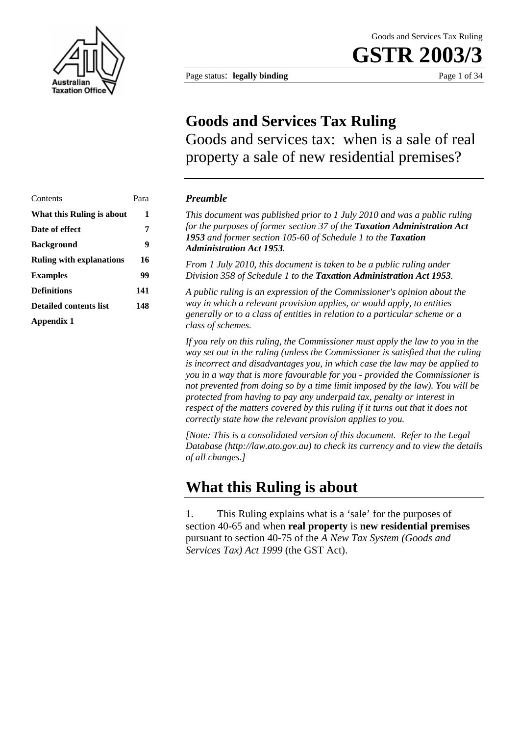

Page status: **legally binding** Page 1 of 34

### **Goods and Services Tax Ruling**

Goods and services tax: when is a sale of real property a sale of new residential premises?

### Contents Para *Preamble*  Date of effect 7 **Background** 9 **Definitions 141 Detailed contents list 148 Appendix 1**

**What this Ruling is about 1** *This document was published prior to 1 July 2010 and was a public ruling for the purposes of former section 37 of the Taxation Administration Act 1953 and former section 105-60 of Schedule 1 to the Taxation Administration Act 1953.* 

**Ruling with explanations 16** *From 1 July 2010, this document is taken to be a public ruling under*  **Examples 99** *Division 358 of Schedule 1 to the Taxation Administration Act 1953.* 

> *A public ruling is an expression of the Commissioner's opinion about the way in which a relevant provision applies, or would apply, to entities generally or to a class of entities in relation to a particular scheme or a class of schemes.*

*If you rely on this ruling, the Commissioner must apply the law to you in the way set out in the ruling (unless the Commissioner is satisfied that the ruling is incorrect and disadvantages you, in which case the law may be applied to you in a way that is more favourable for you - provided the Commissioner is not prevented from doing so by a time limit imposed by the law). You will be protected from having to pay any underpaid tax, penalty or interest in respect of the matters covered by this ruling if it turns out that it does not correctly state how the relevant provision applies to you.*

*[Note: This is a consolidated version of this document. Refer to the Legal Database (http://law.ato.gov.au) to check its currency and to view the details of all changes.]*

### **What this Ruling is about**

1. This Ruling explains what is a 'sale' for the purposes of section 40-65 and when **real property** is **new residential premises**  pursuant to section 40-75 of the *A New Tax System (Goods and Services Tax) Act 1999* (the GST Act).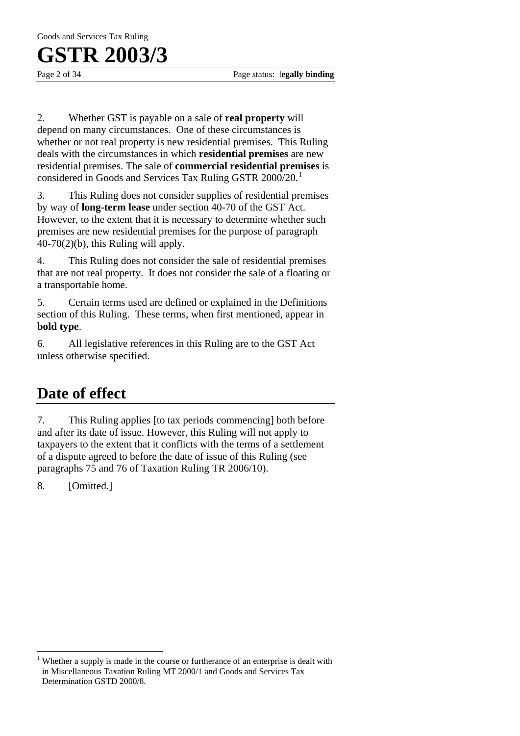Goods and Services Tax Ruling

### **GSTR 2003/3**

2. Whether GST is payable on a sale of **real property** will depend on many circumstances. One of these circumstances is whether or not real property is new residential premises. This Ruling deals with the circumstances in which **residential premises** are new residential premises. The sale of **commercial residential premises** is considered in Goods and Services Tax Ruling GSTR 2000/20.<sup>1</sup>

3. This Ruling does not consider supplies of residential premises by way of **long-term lease** under section 40-70 of the GST Act. However, to the extent that it is necessary to determine whether such premises are new residential premises for the purpose of paragraph  $40-70(2)(b)$ , this Ruling will apply.

4. This Ruling does not consider the sale of residential premises that are not real property. It does not consider the sale of a floating or a transportable home.

5. Certain terms used are defined or explained in the Definitions section of this Ruling. These terms, when first mentioned, appear in **bold type**.

6. All legislative references in this Ruling are to the GST Act unless otherwise specified.

### **Date of effect**

7. This Ruling applies [to tax periods commencing] both before and after its date of issue. However, this Ruling will not apply to taxpayers to the extent that it conflicts with the terms of a settlement of a dispute agreed to before the date of issue of this Ruling (see paragraphs 75 and 76 of Taxation Ruling TR 2006/10).

8. [Omitted.]

 $\overline{a}$ 

<sup>1</sup> Whether a supply is made in the course or furtherance of an enterprise is dealt with in Miscellaneous Taxation Ruling MT 2000/1 and Goods and Services Tax Determination GSTD 2000/8.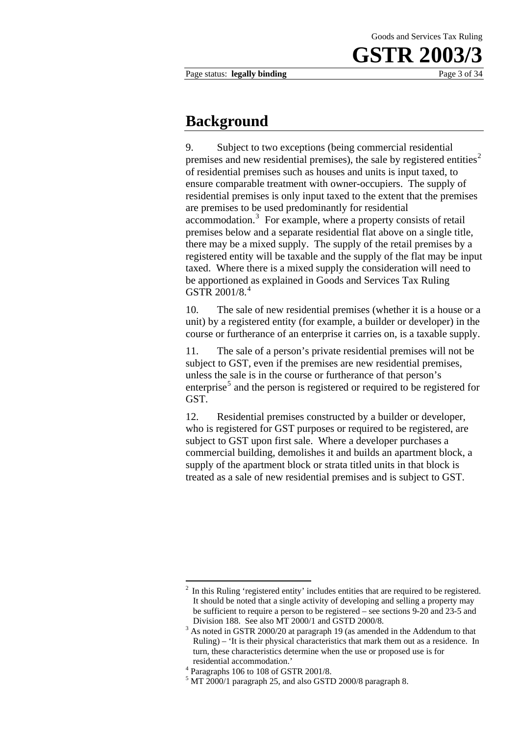### **Background**

9. Subject to two exceptions (being commercial residential premises and new residential premises), the sale by registered entities<sup>2</sup> of residential premises such as houses and units is input taxed, to ensure comparable treatment with owner-occupiers. The supply of residential premises is only input taxed to the extent that the premises are premises to be used predominantly for residential accommodation.<sup>3</sup> For example, where a property consists of retail premises below and a separate residential flat above on a single title, there may be a mixed supply. The supply of the retail premises by a registered entity will be taxable and the supply of the flat may be input taxed. Where there is a mixed supply the consideration will need to be apportioned as explained in Goods and Services Tax Ruling GSTR 2001/8.<sup>4</sup>

10. The sale of new residential premises (whether it is a house or a unit) by a registered entity (for example, a builder or developer) in the course or furtherance of an enterprise it carries on, is a taxable supply.

11. The sale of a person's private residential premises will not be subject to GST, even if the premises are new residential premises, unless the sale is in the course or furtherance of that person's enterprise<sup>5</sup> and the person is registered or required to be registered for GST.

12. Residential premises constructed by a builder or developer, who is registered for GST purposes or required to be registered, are subject to GST upon first sale. Where a developer purchases a commercial building, demolishes it and builds an apartment block, a supply of the apartment block or strata titled units in that block is treated as a sale of new residential premises and is subject to GST.

<sup>&</sup>lt;sup>2</sup> In this Ruling 'registered entity' includes entities that are required to be registered. It should be noted that a single activity of developing and selling a property may be sufficient to require a person to be registered – see sections 9-20 and 23-5 and Division 188. See also  $\overline{MT}$  2000/1 and GSTD 2000/8.

As noted in GSTR 2000/20 at paragraph 19 (as amended in the Addendum to that Ruling) – 'It is their physical characteristics that mark them out as a residence. In turn, these characteristics determine when the use or proposed use is for

residential accommodation.' 4 Paragraphs 106 to 108 of GSTR 2001/8.

 $<sup>5</sup>$  MT 2000/1 paragraph 25, and also GSTD 2000/8 paragraph 8.</sup>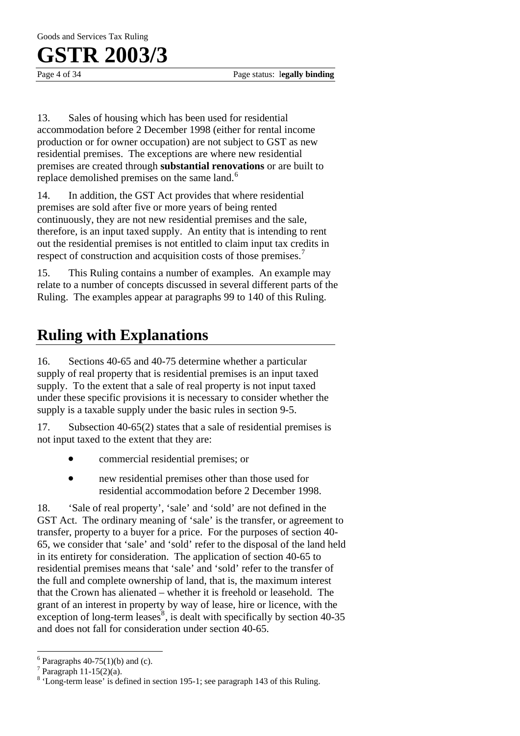Goods and Services Tax Ruling

### **GSTR 2003/3**

Page 4 of 34 Page status: l**egally binding**

13. Sales of housing which has been used for residential accommodation before 2 December 1998 (either for rental income production or for owner occupation) are not subject to GST as new residential premises. The exceptions are where new residential premises are created through **substantial renovations** or are built to replace demolished premises on the same land.<sup>6</sup>

14. In addition, the GST Act provides that where residential premises are sold after five or more years of being rented continuously, they are not new residential premises and the sale, therefore, is an input taxed supply. An entity that is intending to rent out the residential premises is not entitled to claim input tax credits in respect of construction and acquisition costs of those premises.<sup>7</sup>

15. This Ruling contains a number of examples. An example may relate to a number of concepts discussed in several different parts of the Ruling. The examples appear at paragraphs 99 to 140 of this Ruling.

### **Ruling with Explanations**

16. Sections 40-65 and 40-75 determine whether a particular supply of real property that is residential premises is an input taxed supply. To the extent that a sale of real property is not input taxed under these specific provisions it is necessary to consider whether the supply is a taxable supply under the basic rules in section 9-5.

17. Subsection 40-65(2) states that a sale of residential premises is not input taxed to the extent that they are:

- commercial residential premises; or
- new residential premises other than those used for residential accommodation before 2 December 1998.

18. 'Sale of real property', 'sale' and 'sold' are not defined in the GST Act. The ordinary meaning of 'sale' is the transfer, or agreement to transfer, property to a buyer for a price. For the purposes of section 40- 65, we consider that 'sale' and 'sold' refer to the disposal of the land held in its entirety for consideration. The application of section 40-65 to residential premises means that 'sale' and 'sold' refer to the transfer of the full and complete ownership of land, that is, the maximum interest that the Crown has alienated – whether it is freehold or leasehold. The grant of an interest in property by way of lease, hire or licence, with the exception of long-term leases<sup>8</sup>, is dealt with specifically by section 40-35 and does not fall for consideration under section 40-65.

 $\overline{a}$  $6$  Paragraphs 40-75(1)(b) and (c).

 $7$  Paragraph 11-15(2)(a).

<sup>&</sup>lt;sup>8</sup> 'Long-term lease' is defined in section 195-1; see paragraph 143 of this Ruling.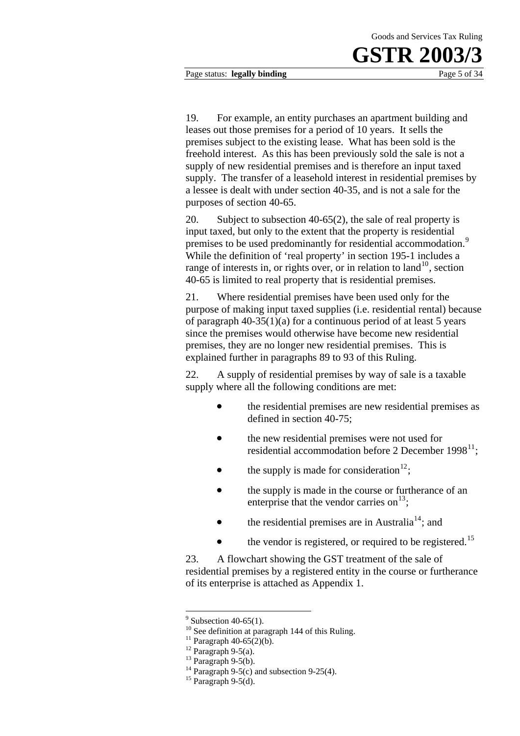Page status: **legally binding** Page 5 of 34

19. For example, an entity purchases an apartment building and leases out those premises for a period of 10 years. It sells the premises subject to the existing lease. What has been sold is the freehold interest. As this has been previously sold the sale is not a supply of new residential premises and is therefore an input taxed supply. The transfer of a leasehold interest in residential premises by a lessee is dealt with under section 40-35, and is not a sale for the purposes of section 40-65.

20. Subject to subsection 40-65(2), the sale of real property is input taxed, but only to the extent that the property is residential premises to be used predominantly for residential accommodation.<sup>9</sup> While the definition of 'real property' in section 195-1 includes a range of interests in, or rights over, or in relation to land<sup>10</sup>, section 40-65 is limited to real property that is residential premises.

21. Where residential premises have been used only for the purpose of making input taxed supplies (i.e. residential rental) because of paragraph 40-35(1)(a) for a continuous period of at least 5 years since the premises would otherwise have become new residential premises, they are no longer new residential premises. This is explained further in paragraphs 89 to 93 of this Ruling.

22. A supply of residential premises by way of sale is a taxable supply where all the following conditions are met:

- the residential premises are new residential premises as defined in section 40-75;
- the new residential premises were not used for residential accommodation before 2 December  $1998^{11}$ ;
- the supply is made for consideration<sup>12</sup>;
- the supply is made in the course or furtherance of an enterprise that the vendor carries on  $13$ ;
- the residential premises are in Australia<sup>14</sup>; and
- the vendor is registered, or required to be registered.<sup>15</sup>

23. A flowchart showing the GST treatment of the sale of residential premises by a registered entity in the course or furtherance of its enterprise is attached as Appendix 1.

 $9$  Subsection 40-65(1).

<sup>&</sup>lt;sup>10</sup> See definition at paragraph 144 of this Ruling.

<sup>&</sup>lt;sup>11</sup> Paragraph 40-65(2)(b).

 $12$  Paragraph 9-5(a).

 $13$  Paragraph 9-5(b).

<sup>&</sup>lt;sup>14</sup> Paragraph 9-5(c) and subsection 9-25(4).

 $15$  Paragraph 9-5(d).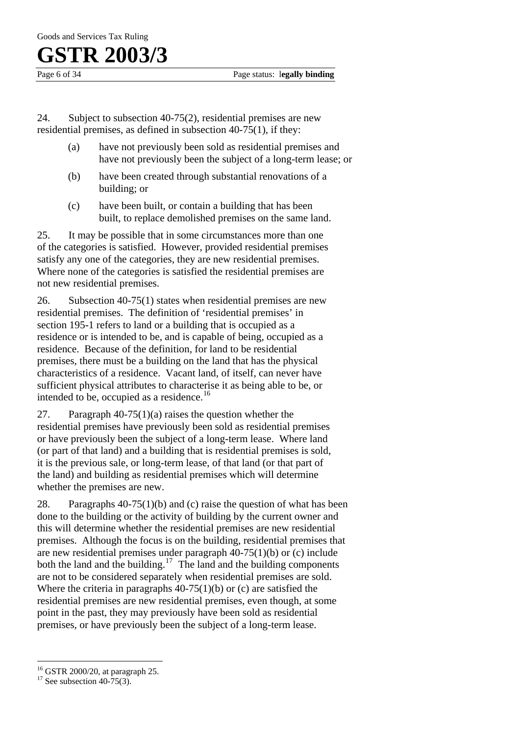Goods and Services Tax Ruling

## **GSTR 2003/3**

24. Subject to subsection 40-75(2), residential premises are new residential premises, as defined in subsection 40-75(1), if they:

- (a) have not previously been sold as residential premises and have not previously been the subject of a long-term lease; or
- (b) have been created through substantial renovations of a building; or
- (c) have been built, or contain a building that has been built, to replace demolished premises on the same land.

25. It may be possible that in some circumstances more than one of the categories is satisfied. However, provided residential premises satisfy any one of the categories, they are new residential premises. Where none of the categories is satisfied the residential premises are not new residential premises.

26. Subsection 40-75(1) states when residential premises are new residential premises. The definition of 'residential premises' in section 195-1 refers to land or a building that is occupied as a residence or is intended to be, and is capable of being, occupied as a residence. Because of the definition, for land to be residential premises, there must be a building on the land that has the physical characteristics of a residence. Vacant land, of itself, can never have sufficient physical attributes to characterise it as being able to be, or intended to be, occupied as a residence.<sup>16</sup>

27. Paragraph 40-75(1)(a) raises the question whether the residential premises have previously been sold as residential premises or have previously been the subject of a long-term lease. Where land (or part of that land) and a building that is residential premises is sold, it is the previous sale, or long-term lease, of that land (or that part of the land) and building as residential premises which will determine whether the premises are new.

28. Paragraphs 40-75(1)(b) and (c) raise the question of what has been done to the building or the activity of building by the current owner and this will determine whether the residential premises are new residential premises. Although the focus is on the building, residential premises that are new residential premises under paragraph  $40-75(1)(b)$  or (c) include both the land and the building.<sup>17</sup> The land and the building components are not to be considered separately when residential premises are sold. Where the criteria in paragraphs 40-75(1)(b) or (c) are satisfied the residential premises are new residential premises, even though, at some point in the past, they may previously have been sold as residential premises, or have previously been the subject of a long-term lease.

 $\overline{a}$ 

<sup>16</sup> GSTR 2000/20, at paragraph 25.

<sup>&</sup>lt;sup>17</sup> See subsection 40-75(3).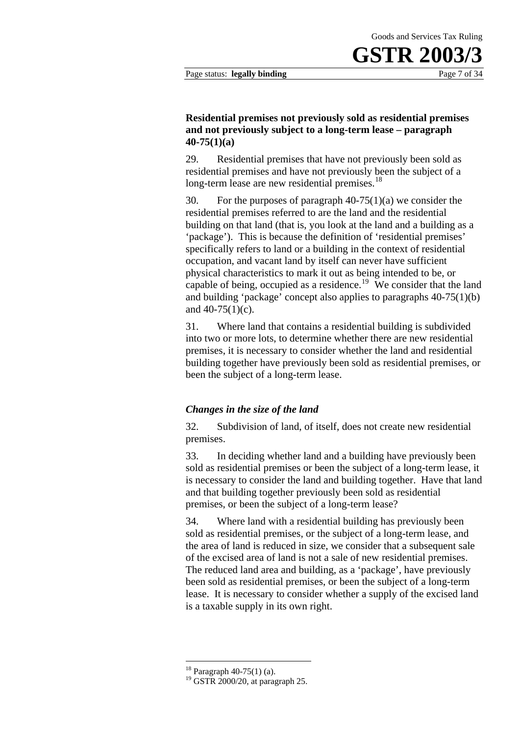#### **Residential premises not previously sold as residential premises and not previously subject to a long-term lease – paragraph 40-75(1)(a)**

29. Residential premises that have not previously been sold as residential premises and have not previously been the subject of a long-term lease are new residential premises.<sup>18</sup>

30. For the purposes of paragraph 40-75(1)(a) we consider the residential premises referred to are the land and the residential building on that land (that is, you look at the land and a building as a 'package'). This is because the definition of 'residential premises' specifically refers to land or a building in the context of residential occupation, and vacant land by itself can never have sufficient physical characteristics to mark it out as being intended to be, or capable of being, occupied as a residence.<sup>19</sup> We consider that the land and building 'package' concept also applies to paragraphs 40-75(1)(b) and  $40-75(1)(c)$ .

31. Where land that contains a residential building is subdivided into two or more lots, to determine whether there are new residential premises, it is necessary to consider whether the land and residential building together have previously been sold as residential premises, or been the subject of a long-term lease.

#### *Changes in the size of the land*

32. Subdivision of land, of itself, does not create new residential premises.

33. In deciding whether land and a building have previously been sold as residential premises or been the subject of a long-term lease, it is necessary to consider the land and building together. Have that land and that building together previously been sold as residential premises, or been the subject of a long-term lease?

34. Where land with a residential building has previously been sold as residential premises, or the subject of a long-term lease, and the area of land is reduced in size, we consider that a subsequent sale of the excised area of land is not a sale of new residential premises. The reduced land area and building, as a 'package', have previously been sold as residential premises, or been the subject of a long-term lease. It is necessary to consider whether a supply of the excised land is a taxable supply in its own right.

<sup>18</sup> Paragraph 40-75(1) (a).

 $19$  GSTR 2000/20, at paragraph 25.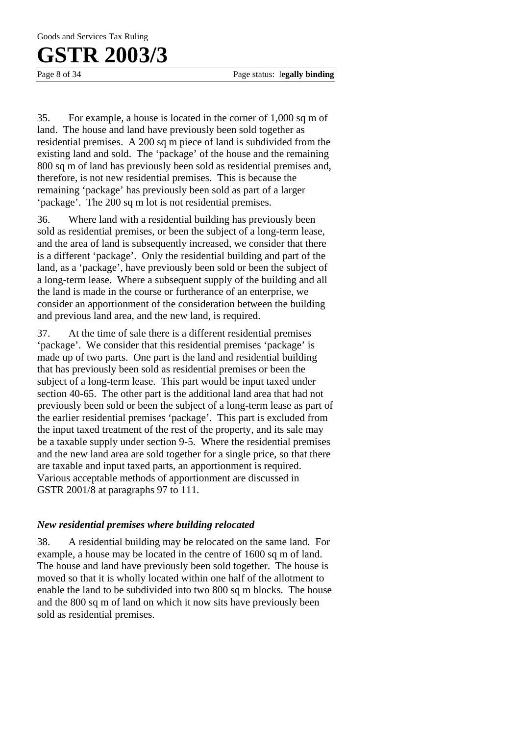Page 8 of 34 Page status: l**egally binding**

35. For example, a house is located in the corner of 1,000 sq m of land. The house and land have previously been sold together as residential premises. A 200 sq m piece of land is subdivided from the existing land and sold. The 'package' of the house and the remaining 800 sq m of land has previously been sold as residential premises and, therefore, is not new residential premises. This is because the remaining 'package' has previously been sold as part of a larger 'package'. The 200 sq m lot is not residential premises.

36. Where land with a residential building has previously been sold as residential premises, or been the subject of a long-term lease, and the area of land is subsequently increased, we consider that there is a different 'package'. Only the residential building and part of the land, as a 'package', have previously been sold or been the subject of a long-term lease. Where a subsequent supply of the building and all the land is made in the course or furtherance of an enterprise, we consider an apportionment of the consideration between the building and previous land area, and the new land, is required.

37. At the time of sale there is a different residential premises 'package'. We consider that this residential premises 'package' is made up of two parts. One part is the land and residential building that has previously been sold as residential premises or been the subject of a long-term lease. This part would be input taxed under section 40-65. The other part is the additional land area that had not previously been sold or been the subject of a long-term lease as part of the earlier residential premises 'package'. This part is excluded from the input taxed treatment of the rest of the property, and its sale may be a taxable supply under section 9-5. Where the residential premises and the new land area are sold together for a single price, so that there are taxable and input taxed parts, an apportionment is required. Various acceptable methods of apportionment are discussed in GSTR 2001/8 at paragraphs 97 to 111.

#### *New residential premises where building relocated*

38. A residential building may be relocated on the same land. For example, a house may be located in the centre of 1600 sq m of land. The house and land have previously been sold together. The house is moved so that it is wholly located within one half of the allotment to enable the land to be subdivided into two 800 sq m blocks. The house and the 800 sq m of land on which it now sits have previously been sold as residential premises.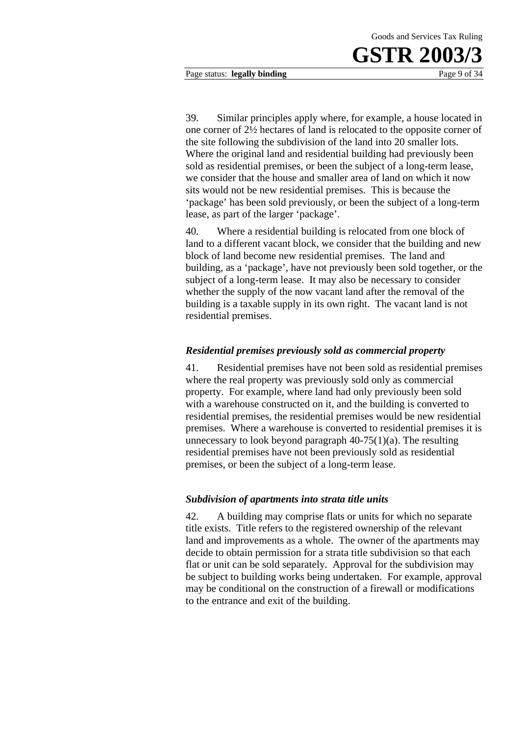Page status: **legally binding** Page 9 of 34

39. Similar principles apply where, for example, a house located in one corner of 2½ hectares of land is relocated to the opposite corner of the site following the subdivision of the land into 20 smaller lots. Where the original land and residential building had previously been sold as residential premises, or been the subject of a long-term lease, we consider that the house and smaller area of land on which it now sits would not be new residential premises. This is because the 'package' has been sold previously, or been the subject of a long-term lease, as part of the larger 'package'.

40. Where a residential building is relocated from one block of land to a different vacant block, we consider that the building and new block of land become new residential premises. The land and building, as a 'package', have not previously been sold together, or the subject of a long-term lease. It may also be necessary to consider whether the supply of the now vacant land after the removal of the building is a taxable supply in its own right. The vacant land is not residential premises.

#### *Residential premises previously sold as commercial property*

41. Residential premises have not been sold as residential premises where the real property was previously sold only as commercial property. For example, where land had only previously been sold with a warehouse constructed on it, and the building is converted to residential premises, the residential premises would be new residential premises. Where a warehouse is converted to residential premises it is unnecessary to look beyond paragraph  $40-75(1)(a)$ . The resulting residential premises have not been previously sold as residential premises, or been the subject of a long-term lease.

#### *Subdivision of apartments into strata title units*

42. A building may comprise flats or units for which no separate title exists. Title refers to the registered ownership of the relevant land and improvements as a whole. The owner of the apartments may decide to obtain permission for a strata title subdivision so that each flat or unit can be sold separately. Approval for the subdivision may be subject to building works being undertaken. For example, approval may be conditional on the construction of a firewall or modifications to the entrance and exit of the building.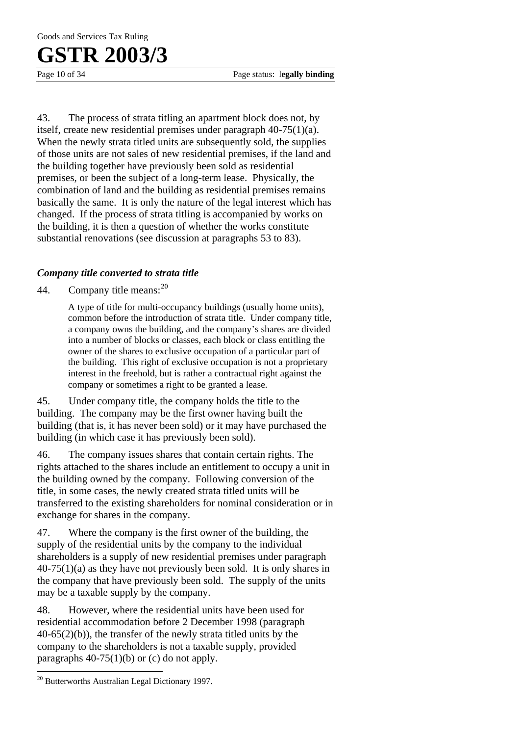43. The process of strata titling an apartment block does not, by itself, create new residential premises under paragraph 40-75(1)(a). When the newly strata titled units are subsequently sold, the supplies of those units are not sales of new residential premises, if the land and the building together have previously been sold as residential premises, or been the subject of a long-term lease. Physically, the combination of land and the building as residential premises remains basically the same. It is only the nature of the legal interest which has changed. If the process of strata titling is accompanied by works on the building, it is then a question of whether the works constitute substantial renovations (see discussion at paragraphs 53 to 83).

#### *Company title converted to strata title*

44. Company title means:  $20$ 

A type of title for multi-occupancy buildings (usually home units), common before the introduction of strata title. Under company title, a company owns the building, and the company's shares are divided into a number of blocks or classes, each block or class entitling the owner of the shares to exclusive occupation of a particular part of the building. This right of exclusive occupation is not a proprietary interest in the freehold, but is rather a contractual right against the company or sometimes a right to be granted a lease.

45. Under company title, the company holds the title to the building. The company may be the first owner having built the building (that is, it has never been sold) or it may have purchased the building (in which case it has previously been sold).

46. The company issues shares that contain certain rights. The rights attached to the shares include an entitlement to occupy a unit in the building owned by the company. Following conversion of the title, in some cases, the newly created strata titled units will be transferred to the existing shareholders for nominal consideration or in exchange for shares in the company.

47. Where the company is the first owner of the building, the supply of the residential units by the company to the individual shareholders is a supply of new residential premises under paragraph  $40-75(1)(a)$  as they have not previously been sold. It is only shares in the company that have previously been sold. The supply of the units may be a taxable supply by the company.

48. However, where the residential units have been used for residential accommodation before 2 December 1998 (paragraph  $40-65(2)(b)$ , the transfer of the newly strata titled units by the company to the shareholders is not a taxable supply, provided paragraphs  $40-75(1)(b)$  or (c) do not apply.

 $\overline{a}$ 

<sup>20</sup> Butterworths Australian Legal Dictionary 1997.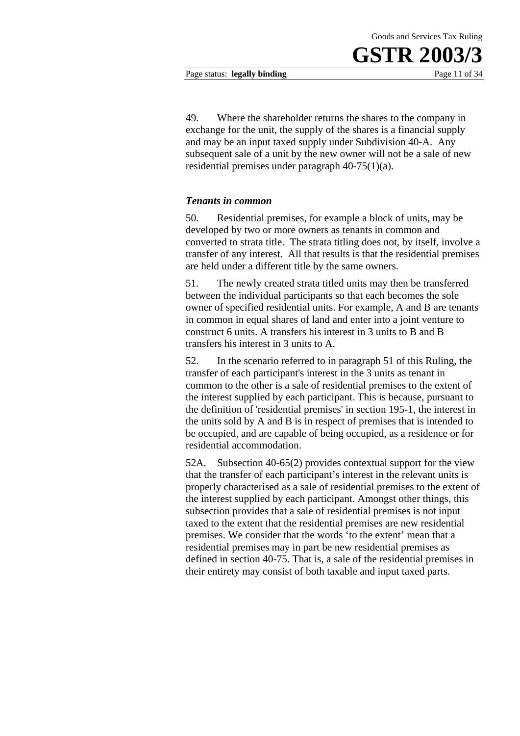Page status: **legally binding** Page 11 of 34

49. Where the shareholder returns the shares to the company in exchange for the unit, the supply of the shares is a financial supply and may be an input taxed supply under Subdivision 40-A. Any subsequent sale of a unit by the new owner will not be a sale of new residential premises under paragraph 40-75(1)(a).

#### *Tenants in common*

50. Residential premises, for example a block of units, may be developed by two or more owners as tenants in common and converted to strata title. The strata titling does not, by itself, involve a transfer of any interest. All that results is that the residential premises are held under a different title by the same owners.

51. The newly created strata titled units may then be transferred between the individual participants so that each becomes the sole owner of specified residential units. For example, A and B are tenants in common in equal shares of land and enter into a joint venture to construct 6 units. A transfers his interest in 3 units to B and B transfers his interest in 3 units to A.

52. In the scenario referred to in paragraph 51 of this Ruling, the transfer of each participant's interest in the 3 units as tenant in common to the other is a sale of residential premises to the extent of the interest supplied by each participant. This is because, pursuant to the definition of 'residential premises' in section 195-1, the interest in the units sold by A and B is in respect of premises that is intended to be occupied, and are capable of being occupied, as a residence or for residential accommodation.

52A. Subsection 40-65(2) provides contextual support for the view that the transfer of each participant's interest in the relevant units is properly characterised as a sale of residential premises to the extent of the interest supplied by each participant. Amongst other things, this subsection provides that a sale of residential premises is not input taxed to the extent that the residential premises are new residential premises. We consider that the words 'to the extent' mean that a residential premises may in part be new residential premises as defined in section 40-75. That is, a sale of the residential premises in their entirety may consist of both taxable and input taxed parts.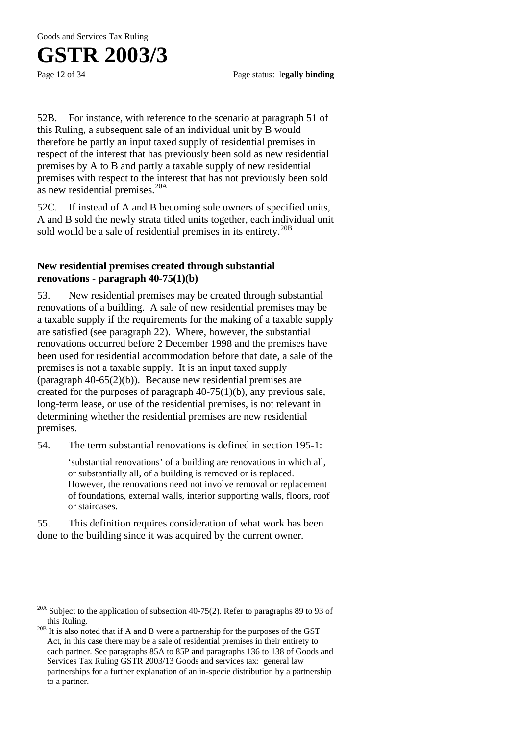$\overline{a}$ 

52B. For instance, with reference to the scenario at paragraph 51 of this Ruling, a subsequent sale of an individual unit by B would therefore be partly an input taxed supply of residential premises in respect of the interest that has previously been sold as new residential premises by A to B and partly a taxable supply of new residential premises with respect to the interest that has not previously been sold as new residential premises.20A

52C. If instead of A and B becoming sole owners of specified units, A and B sold the newly strata titled units together, each individual unit sold would be a sale of residential premises in its entirety.<sup>20B</sup>

#### **New residential premises created through substantial renovations - paragraph 40-75(1)(b)**

53. New residential premises may be created through substantial renovations of a building. A sale of new residential premises may be a taxable supply if the requirements for the making of a taxable supply are satisfied (see paragraph 22). Where, however, the substantial renovations occurred before 2 December 1998 and the premises have been used for residential accommodation before that date, a sale of the premises is not a taxable supply. It is an input taxed supply (paragraph 40-65(2)(b)). Because new residential premises are created for the purposes of paragraph 40-75(1)(b), any previous sale, long-term lease, or use of the residential premises, is not relevant in determining whether the residential premises are new residential premises.

54. The term substantial renovations is defined in section 195-1:

'substantial renovations' of a building are renovations in which all, or substantially all, of a building is removed or is replaced. However, the renovations need not involve removal or replacement of foundations, external walls, interior supporting walls, floors, roof or staircases.

55. This definition requires consideration of what work has been done to the building since it was acquired by the current owner.

<sup>&</sup>lt;sup>20A</sup> Subject to the application of subsection 40-75(2). Refer to paragraphs 89 to 93 of this Ruling.

 $20B$  It is also noted that if A and B were a partnership for the purposes of the GST Act, in this case there may be a sale of residential premises in their entirety to each partner. See paragraphs 85A to 85P and paragraphs 136 to 138 of Goods and Services Tax Ruling GSTR 2003/13 Goods and services tax: general law partnerships for a further explanation of an in-specie distribution by a partnership to a partner.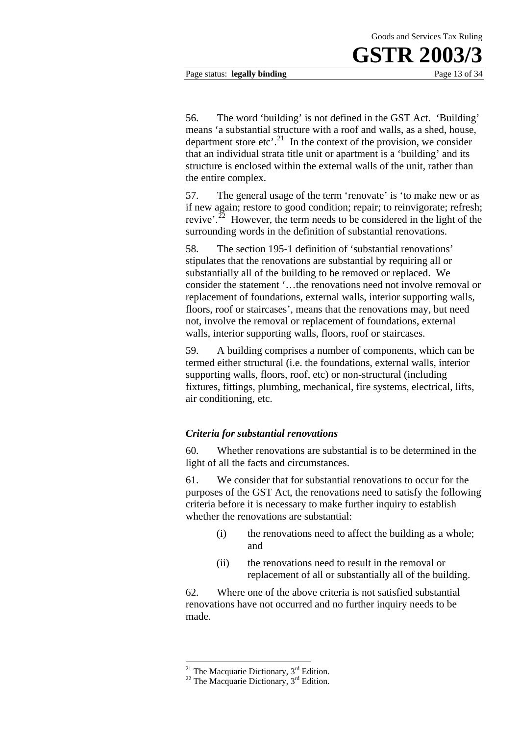56. The word 'building' is not defined in the GST Act. 'Building' means 'a substantial structure with a roof and walls, as a shed, house, department store etc'.<sup>21</sup> In the context of the provision, we consider that an individual strata title unit or apartment is a 'building' and its structure is enclosed within the external walls of the unit, rather than the entire complex.

57. The general usage of the term 'renovate' is 'to make new or as if new again; restore to good condition; repair; to reinvigorate; refresh; revive'.<sup>22</sup> However, the term needs to be considered in the light of the surrounding words in the definition of substantial renovations.

58. The section 195-1 definition of 'substantial renovations' stipulates that the renovations are substantial by requiring all or substantially all of the building to be removed or replaced. We consider the statement '…the renovations need not involve removal or replacement of foundations, external walls, interior supporting walls, floors, roof or staircases', means that the renovations may, but need not, involve the removal or replacement of foundations, external walls, interior supporting walls, floors, roof or staircases.

59. A building comprises a number of components, which can be termed either structural (i.e. the foundations, external walls, interior supporting walls, floors, roof, etc) or non-structural (including fixtures, fittings, plumbing, mechanical, fire systems, electrical, lifts, air conditioning, etc.

#### *Criteria for substantial renovations*

60. Whether renovations are substantial is to be determined in the light of all the facts and circumstances.

61. We consider that for substantial renovations to occur for the purposes of the GST Act, the renovations need to satisfy the following criteria before it is necessary to make further inquiry to establish whether the renovations are substantial:

- (i) the renovations need to affect the building as a whole; and
- (ii) the renovations need to result in the removal or replacement of all or substantially all of the building.

62. Where one of the above criteria is not satisfied substantial renovations have not occurred and no further inquiry needs to be made.

<sup>&</sup>lt;sup>21</sup> The Macquarie Dictionary,  $3<sup>rd</sup>$  Edition.<br><sup>22</sup> The Macquarie Dictionary,  $3<sup>rd</sup>$  Edition.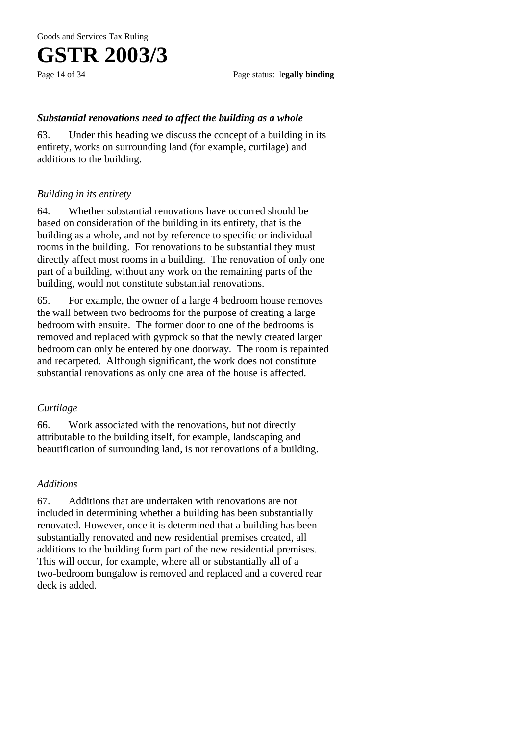#### *Substantial renovations need to affect the building as a whole*

63. Under this heading we discuss the concept of a building in its entirety, works on surrounding land (for example, curtilage) and additions to the building.

#### *Building in its entirety*

64. Whether substantial renovations have occurred should be based on consideration of the building in its entirety, that is the building as a whole, and not by reference to specific or individual rooms in the building. For renovations to be substantial they must directly affect most rooms in a building. The renovation of only one part of a building, without any work on the remaining parts of the building, would not constitute substantial renovations.

65. For example, the owner of a large 4 bedroom house removes the wall between two bedrooms for the purpose of creating a large bedroom with ensuite. The former door to one of the bedrooms is removed and replaced with gyprock so that the newly created larger bedroom can only be entered by one doorway. The room is repainted and recarpeted. Although significant, the work does not constitute substantial renovations as only one area of the house is affected.

#### *Curtilage*

66. Work associated with the renovations, but not directly attributable to the building itself, for example, landscaping and beautification of surrounding land, is not renovations of a building.

#### *Additions*

67. Additions that are undertaken with renovations are not included in determining whether a building has been substantially renovated. However, once it is determined that a building has been substantially renovated and new residential premises created, all additions to the building form part of the new residential premises. This will occur, for example, where all or substantially all of a two-bedroom bungalow is removed and replaced and a covered rear deck is added.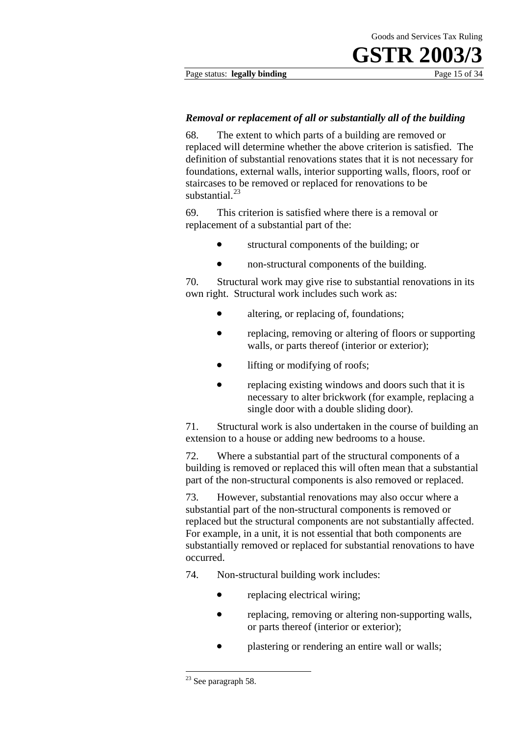Page status: **legally binding** Page 15 of 34

#### *Removal or replacement of all or substantially all of the building*

68. The extent to which parts of a building are removed or replaced will determine whether the above criterion is satisfied. The definition of substantial renovations states that it is not necessary for foundations, external walls, interior supporting walls, floors, roof or staircases to be removed or replaced for renovations to be substantial $^{23}$ 

69. This criterion is satisfied where there is a removal or replacement of a substantial part of the:

- structural components of the building; or
- non-structural components of the building.

70. Structural work may give rise to substantial renovations in its own right. Structural work includes such work as:

- altering, or replacing of, foundations;
- replacing, removing or altering of floors or supporting walls, or parts thereof (interior or exterior);
- lifting or modifying of roofs;
- replacing existing windows and doors such that it is necessary to alter brickwork (for example, replacing a single door with a double sliding door).

71. Structural work is also undertaken in the course of building an extension to a house or adding new bedrooms to a house.

72. Where a substantial part of the structural components of a building is removed or replaced this will often mean that a substantial part of the non-structural components is also removed or replaced.

73. However, substantial renovations may also occur where a substantial part of the non-structural components is removed or replaced but the structural components are not substantially affected. For example, in a unit, it is not essential that both components are substantially removed or replaced for substantial renovations to have occurred.

74. Non-structural building work includes:

- replacing electrical wiring;
- replacing, removing or altering non-supporting walls, or parts thereof (interior or exterior);
- plastering or rendering an entire wall or walls;

<sup>&</sup>lt;sup>23</sup> See paragraph 58.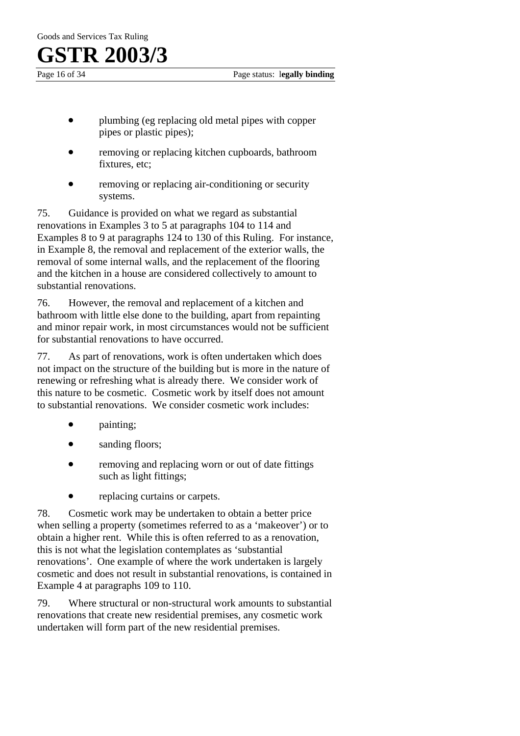Page 16 of 34 Page status: l**egally binding**

- plumbing (eg replacing old metal pipes with copper pipes or plastic pipes);
- removing or replacing kitchen cupboards, bathroom fixtures, etc;
- removing or replacing air-conditioning or security systems.

75. Guidance is provided on what we regard as substantial renovations in Examples 3 to 5 at paragraphs 104 to 114 and Examples 8 to 9 at paragraphs 124 to 130 of this Ruling. For instance, in Example 8, the removal and replacement of the exterior walls, the removal of some internal walls, and the replacement of the flooring and the kitchen in a house are considered collectively to amount to substantial renovations.

76. However, the removal and replacement of a kitchen and bathroom with little else done to the building, apart from repainting and minor repair work, in most circumstances would not be sufficient for substantial renovations to have occurred.

77. As part of renovations, work is often undertaken which does not impact on the structure of the building but is more in the nature of renewing or refreshing what is already there. We consider work of this nature to be cosmetic. Cosmetic work by itself does not amount to substantial renovations. We consider cosmetic work includes:

- painting;
- sanding floors;
- removing and replacing worn or out of date fittings such as light fittings;
- replacing curtains or carpets.

78. Cosmetic work may be undertaken to obtain a better price when selling a property (sometimes referred to as a 'makeover') or to obtain a higher rent. While this is often referred to as a renovation, this is not what the legislation contemplates as 'substantial renovations'. One example of where the work undertaken is largely cosmetic and does not result in substantial renovations, is contained in Example 4 at paragraphs 109 to 110.

79. Where structural or non-structural work amounts to substantial renovations that create new residential premises, any cosmetic work undertaken will form part of the new residential premises.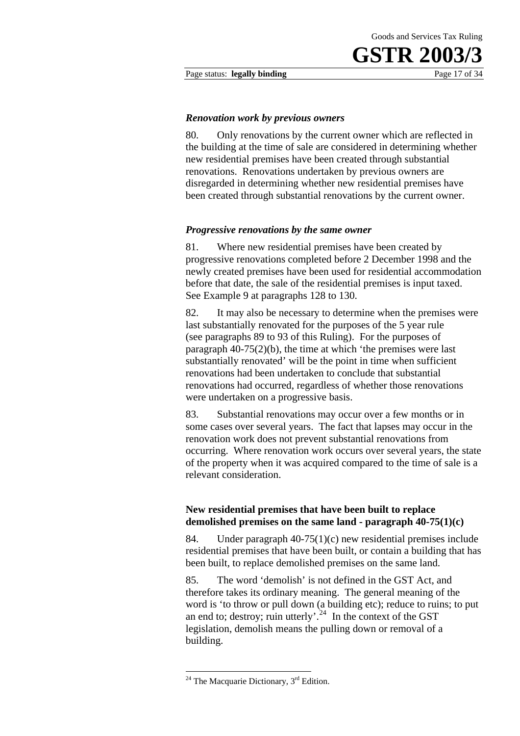Page status: **legally binding** Page 17 of 34

#### *Renovation work by previous owners*

80. Only renovations by the current owner which are reflected in the building at the time of sale are considered in determining whether new residential premises have been created through substantial renovations. Renovations undertaken by previous owners are disregarded in determining whether new residential premises have been created through substantial renovations by the current owner.

#### *Progressive renovations by the same owner*

81. Where new residential premises have been created by progressive renovations completed before 2 December 1998 and the newly created premises have been used for residential accommodation before that date, the sale of the residential premises is input taxed. See Example 9 at paragraphs 128 to 130.

82. It may also be necessary to determine when the premises were last substantially renovated for the purposes of the 5 year rule (see paragraphs 89 to 93 of this Ruling). For the purposes of paragraph 40-75(2)(b), the time at which 'the premises were last substantially renovated' will be the point in time when sufficient renovations had been undertaken to conclude that substantial renovations had occurred, regardless of whether those renovations were undertaken on a progressive basis.

83. Substantial renovations may occur over a few months or in some cases over several years. The fact that lapses may occur in the renovation work does not prevent substantial renovations from occurring. Where renovation work occurs over several years, the state of the property when it was acquired compared to the time of sale is a relevant consideration.

#### **New residential premises that have been built to replace demolished premises on the same land - paragraph 40-75(1)(c)**

84. Under paragraph 40-75(1)(c) new residential premises include residential premises that have been built, or contain a building that has been built, to replace demolished premises on the same land.

85. The word 'demolish' is not defined in the GST Act, and therefore takes its ordinary meaning. The general meaning of the word is 'to throw or pull down (a building etc); reduce to ruins; to put an end to; destroy; ruin utterly'.<sup>24</sup> In the context of the GST legislation, demolish means the pulling down or removal of a building.

 $24$  The Macquarie Dictionary,  $3<sup>rd</sup>$  Edition.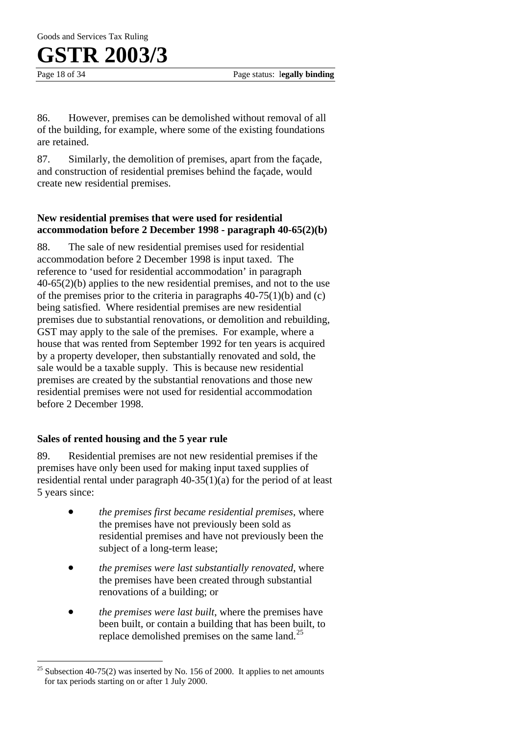Page 18 of 34 Page status: l**egally binding**

86. However, premises can be demolished without removal of all of the building, for example, where some of the existing foundations are retained.

87. Similarly, the demolition of premises, apart from the façade, and construction of residential premises behind the façade, would create new residential premises.

#### **New residential premises that were used for residential accommodation before 2 December 1998 - paragraph 40-65(2)(b)**

88. The sale of new residential premises used for residential accommodation before 2 December 1998 is input taxed. The reference to 'used for residential accommodation' in paragraph 40-65(2)(b) applies to the new residential premises, and not to the use of the premises prior to the criteria in paragraphs  $40-75(1)(b)$  and (c) being satisfied. Where residential premises are new residential premises due to substantial renovations, or demolition and rebuilding, GST may apply to the sale of the premises. For example, where a house that was rented from September 1992 for ten years is acquired by a property developer, then substantially renovated and sold, the sale would be a taxable supply. This is because new residential premises are created by the substantial renovations and those new residential premises were not used for residential accommodation before 2 December 1998.

#### **Sales of rented housing and the 5 year rule**

 $\overline{a}$ 

89. Residential premises are not new residential premises if the premises have only been used for making input taxed supplies of residential rental under paragraph 40-35(1)(a) for the period of at least 5 years since:

- *the premises first became residential premises*, where the premises have not previously been sold as residential premises and have not previously been the subject of a long-term lease;
- *the premises were last substantially renovated*, where the premises have been created through substantial renovations of a building; or
- *the premises were last built*, where the premises have been built, or contain a building that has been built, to replace demolished premises on the same land.<sup>25</sup>

 $25$  Subsection 40-75(2) was inserted by No. 156 of 2000. It applies to net amounts for tax periods starting on or after 1 July 2000.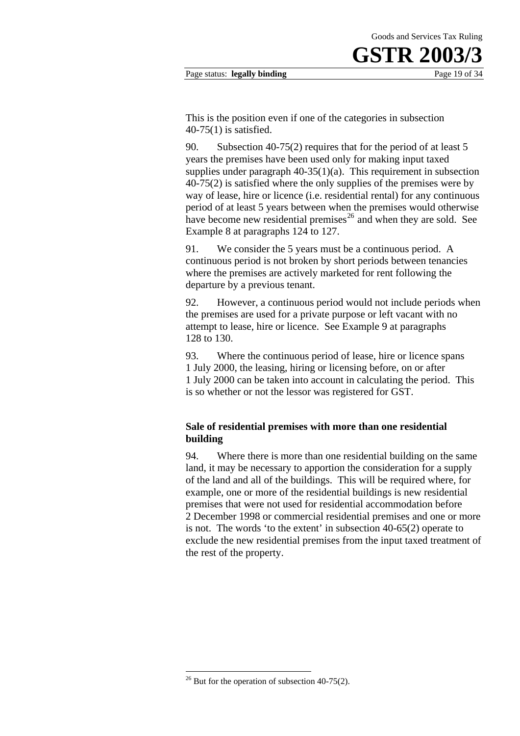This is the position even if one of the categories in subsection 40-75(1) is satisfied.

90. Subsection 40-75(2) requires that for the period of at least 5 years the premises have been used only for making input taxed supplies under paragraph  $40-35(1)(a)$ . This requirement in subsection 40-75(2) is satisfied where the only supplies of the premises were by way of lease, hire or licence (i.e. residential rental) for any continuous period of at least 5 years between when the premises would otherwise have become new residential premises<sup>26</sup> and when they are sold. See Example 8 at paragraphs 124 to 127.

91. We consider the 5 years must be a continuous period. A continuous period is not broken by short periods between tenancies where the premises are actively marketed for rent following the departure by a previous tenant.

92. However, a continuous period would not include periods when the premises are used for a private purpose or left vacant with no attempt to lease, hire or licence. See Example 9 at paragraphs 128 to 130.

93. Where the continuous period of lease, hire or licence spans 1 July 2000, the leasing, hiring or licensing before, on or after 1 July 2000 can be taken into account in calculating the period. This is so whether or not the lessor was registered for GST.

#### **Sale of residential premises with more than one residential building**

94. Where there is more than one residential building on the same land, it may be necessary to apportion the consideration for a supply of the land and all of the buildings. This will be required where, for example, one or more of the residential buildings is new residential premises that were not used for residential accommodation before 2 December 1998 or commercial residential premises and one or more is not. The words 'to the extent' in subsection 40-65(2) operate to exclude the new residential premises from the input taxed treatment of the rest of the property.

 $26$  But for the operation of subsection 40-75(2).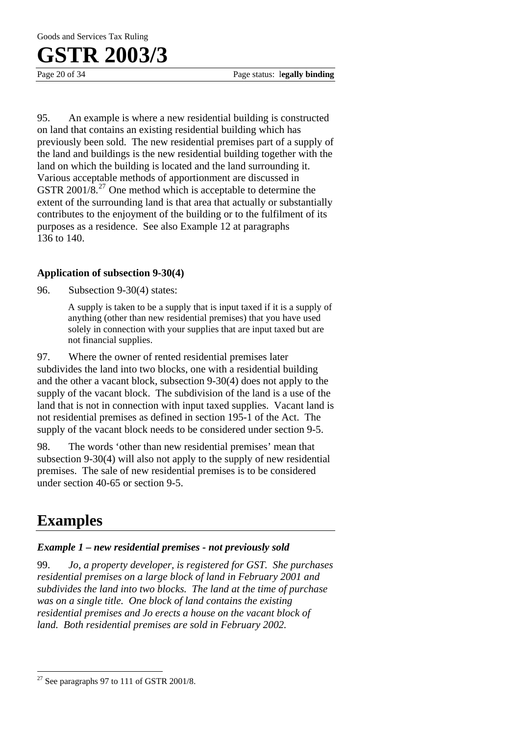95. An example is where a new residential building is constructed on land that contains an existing residential building which has previously been sold. The new residential premises part of a supply of the land and buildings is the new residential building together with the land on which the building is located and the land surrounding it. Various acceptable methods of apportionment are discussed in GSTR 2001/8<sup>27</sup> One method which is acceptable to determine the extent of the surrounding land is that area that actually or substantially contributes to the enjoyment of the building or to the fulfilment of its purposes as a residence. See also Example 12 at paragraphs 136 to 140.

#### **Application of subsection 9-30(4)**

96. Subsection 9-30(4) states:

A supply is taken to be a supply that is input taxed if it is a supply of anything (other than new residential premises) that you have used solely in connection with your supplies that are input taxed but are not financial supplies.

97. Where the owner of rented residential premises later subdivides the land into two blocks, one with a residential building and the other a vacant block, subsection 9-30(4) does not apply to the supply of the vacant block. The subdivision of the land is a use of the land that is not in connection with input taxed supplies. Vacant land is not residential premises as defined in section 195-1 of the Act. The supply of the vacant block needs to be considered under section 9-5.

98. The words 'other than new residential premises' mean that subsection 9-30(4) will also not apply to the supply of new residential premises. The sale of new residential premises is to be considered under section 40-65 or section 9-5.

### **Examples**

 $\overline{a}$ 

#### *Example 1 – new residential premises - not previously sold*

99. *Jo, a property developer, is registered for GST. She purchases residential premises on a large block of land in February 2001 and subdivides the land into two blocks. The land at the time of purchase was on a single title. One block of land contains the existing residential premises and Jo erects a house on the vacant block of land. Both residential premises are sold in February 2002.* 

 $27$  See paragraphs 97 to 111 of GSTR 2001/8.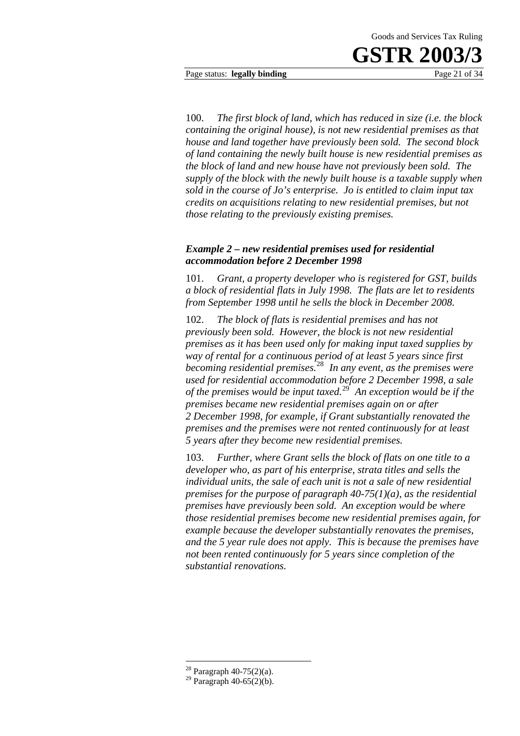Page status: **legally binding** Page 21 of 34

100. *The first block of land, which has reduced in size (i.e. the block containing the original house), is not new residential premises as that house and land together have previously been sold. The second block of land containing the newly built house is new residential premises as the block of land and new house have not previously been sold. The supply of the block with the newly built house is a taxable supply when sold in the course of Jo's enterprise. Jo is entitled to claim input tax credits on acquisitions relating to new residential premises, but not those relating to the previously existing premises.* 

#### *Example 2 – new residential premises used for residential accommodation before 2 December 1998*

101. *Grant, a property developer who is registered for GST, builds a block of residential flats in July 1998. The flats are let to residents from September 1998 until he sells the block in December 2008.* 

102. *The block of flats is residential premises and has not previously been sold. However, the block is not new residential premises as it has been used only for making input taxed supplies by way of rental for a continuous period of at least 5 years since first becoming residential premises.*<sup>28</sup> *In any event, as the premises were used for residential accommodation before 2 December 1998, a sale of the premises would be input taxed.*<sup>29</sup> *An exception would be if the premises became new residential premises again on or after 2 December 1998, for example, if Grant substantially renovated the premises and the premises were not rented continuously for at least 5 years after they become new residential premises.* 

103. *Further, where Grant sells the block of flats on one title to a developer who, as part of his enterprise, strata titles and sells the individual units, the sale of each unit is not a sale of new residential premises for the purpose of paragraph 40-75(1)(a), as the residential premises have previously been sold. An exception would be where those residential premises become new residential premises again, for example because the developer substantially renovates the premises, and the 5 year rule does not apply. This is because the premises have not been rented continuously for 5 years since completion of the substantial renovations.* 

<sup>28</sup> Paragraph 40-75(2)(a).

 $29$  Paragraph 40-65(2)(b).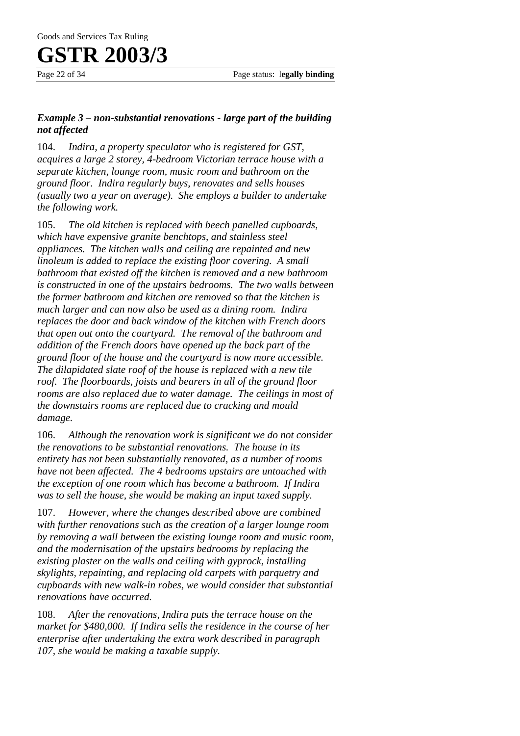#### *Example 3 – non-substantial renovations - large part of the building not affected*

104. *Indira, a property speculator who is registered for GST, acquires a large 2 storey, 4-bedroom Victorian terrace house with a separate kitchen, lounge room, music room and bathroom on the ground floor. Indira regularly buys, renovates and sells houses (usually two a year on average). She employs a builder to undertake the following work.* 

105. *The old kitchen is replaced with beech panelled cupboards, which have expensive granite benchtops, and stainless steel appliances. The kitchen walls and ceiling are repainted and new linoleum is added to replace the existing floor covering. A small bathroom that existed off the kitchen is removed and a new bathroom is constructed in one of the upstairs bedrooms. The two walls between the former bathroom and kitchen are removed so that the kitchen is much larger and can now also be used as a dining room. Indira replaces the door and back window of the kitchen with French doors that open out onto the courtyard. The removal of the bathroom and addition of the French doors have opened up the back part of the ground floor of the house and the courtyard is now more accessible. The dilapidated slate roof of the house is replaced with a new tile roof. The floorboards, joists and bearers in all of the ground floor rooms are also replaced due to water damage. The ceilings in most of the downstairs rooms are replaced due to cracking and mould damage.* 

106. *Although the renovation work is significant we do not consider the renovations to be substantial renovations. The house in its entirety has not been substantially renovated, as a number of rooms have not been affected. The 4 bedrooms upstairs are untouched with the exception of one room which has become a bathroom. If Indira was to sell the house, she would be making an input taxed supply.* 

107. *However, where the changes described above are combined with further renovations such as the creation of a larger lounge room by removing a wall between the existing lounge room and music room, and the modernisation of the upstairs bedrooms by replacing the existing plaster on the walls and ceiling with gyprock, installing skylights, repainting, and replacing old carpets with parquetry and cupboards with new walk-in robes, we would consider that substantial renovations have occurred.* 

108. *After the renovations, Indira puts the terrace house on the market for \$480,000. If Indira sells the residence in the course of her enterprise after undertaking the extra work described in paragraph 107, she would be making a taxable supply.*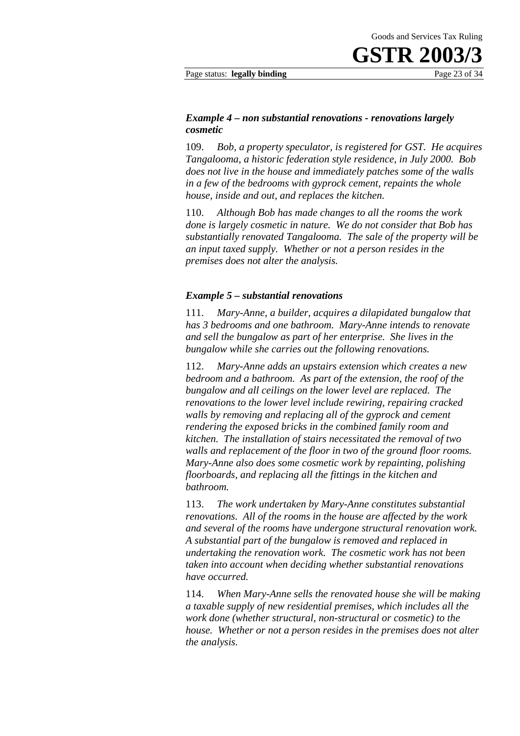Page status: **legally binding** Page 23 of 34

#### *Example 4 – non substantial renovations - renovations largely cosmetic*

109. *Bob, a property speculator, is registered for GST. He acquires Tangalooma, a historic federation style residence, in July 2000. Bob does not live in the house and immediately patches some of the walls in a few of the bedrooms with gyprock cement, repaints the whole house, inside and out, and replaces the kitchen.* 

110. *Although Bob has made changes to all the rooms the work done is largely cosmetic in nature. We do not consider that Bob has substantially renovated Tangalooma. The sale of the property will be an input taxed supply. Whether or not a person resides in the premises does not alter the analysis.* 

#### *Example 5 – substantial renovations*

111. *Mary-Anne, a builder, acquires a dilapidated bungalow that has 3 bedrooms and one bathroom. Mary-Anne intends to renovate and sell the bungalow as part of her enterprise. She lives in the bungalow while she carries out the following renovations.* 

112. *Mary-Anne adds an upstairs extension which creates a new bedroom and a bathroom. As part of the extension, the roof of the bungalow and all ceilings on the lower level are replaced. The renovations to the lower level include rewiring, repairing cracked walls by removing and replacing all of the gyprock and cement rendering the exposed bricks in the combined family room and kitchen. The installation of stairs necessitated the removal of two walls and replacement of the floor in two of the ground floor rooms. Mary-Anne also does some cosmetic work by repainting, polishing floorboards, and replacing all the fittings in the kitchen and bathroom.* 

113. *The work undertaken by Mary-Anne constitutes substantial renovations. All of the rooms in the house are affected by the work and several of the rooms have undergone structural renovation work. A substantial part of the bungalow is removed and replaced in undertaking the renovation work. The cosmetic work has not been taken into account when deciding whether substantial renovations have occurred.* 

114. *When Mary-Anne sells the renovated house she will be making a taxable supply of new residential premises, which includes all the work done (whether structural, non-structural or cosmetic) to the house. Whether or not a person resides in the premises does not alter the analysis.*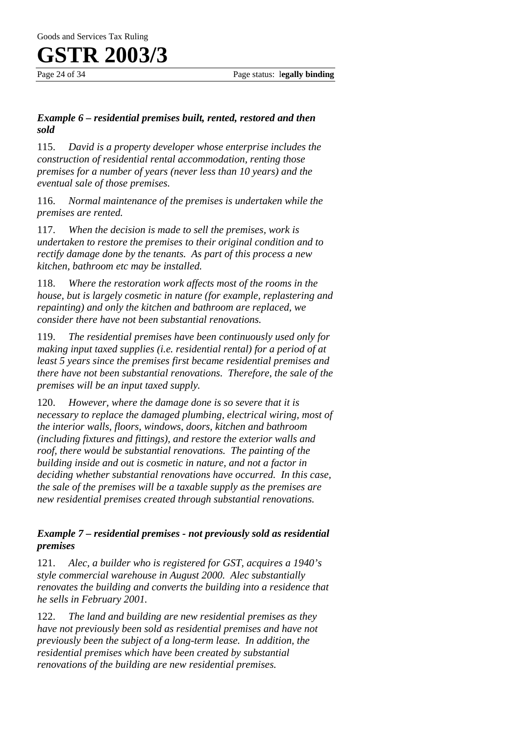Page 24 of 34 Page status: l**egally binding**

### *Example 6 – residential premises built, rented, restored and then sold*

115. *David is a property developer whose enterprise includes the construction of residential rental accommodation, renting those premises for a number of years (never less than 10 years) and the eventual sale of those premises.* 

116. *Normal maintenance of the premises is undertaken while the premises are rented.* 

117. *When the decision is made to sell the premises, work is undertaken to restore the premises to their original condition and to rectify damage done by the tenants. As part of this process a new kitchen, bathroom etc may be installed.* 

118. *Where the restoration work affects most of the rooms in the house, but is largely cosmetic in nature (for example, replastering and repainting) and only the kitchen and bathroom are replaced, we consider there have not been substantial renovations.* 

119. *The residential premises have been continuously used only for making input taxed supplies (i.e. residential rental) for a period of at least 5 years since the premises first became residential premises and there have not been substantial renovations. Therefore, the sale of the premises will be an input taxed supply.* 

120. *However, where the damage done is so severe that it is necessary to replace the damaged plumbing, electrical wiring, most of the interior walls, floors, windows, doors, kitchen and bathroom (including fixtures and fittings), and restore the exterior walls and roof, there would be substantial renovations. The painting of the building inside and out is cosmetic in nature, and not a factor in deciding whether substantial renovations have occurred. In this case, the sale of the premises will be a taxable supply as the premises are new residential premises created through substantial renovations.* 

### *Example 7 – residential premises - not previously sold as residential premises*

121. *Alec, a builder who is registered for GST, acquires a 1940's style commercial warehouse in August 2000. Alec substantially renovates the building and converts the building into a residence that he sells in February 2001.* 

122. *The land and building are new residential premises as they have not previously been sold as residential premises and have not previously been the subject of a long-term lease. In addition, the residential premises which have been created by substantial renovations of the building are new residential premises.*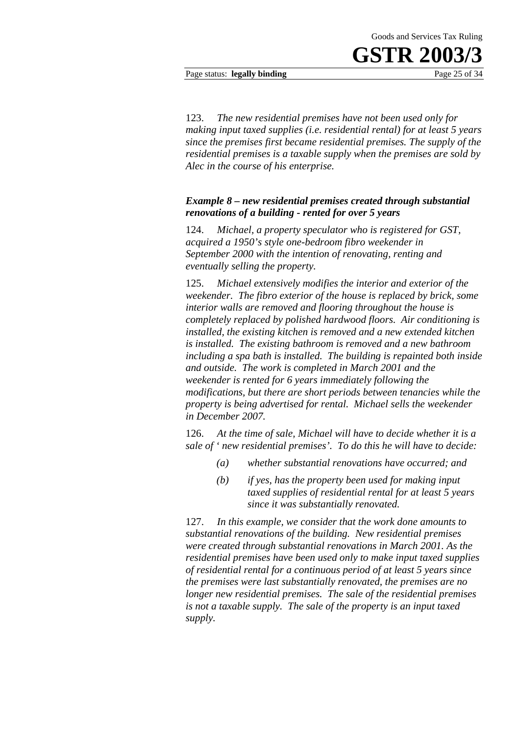Page status: **legally binding** Page 25 of 34

123. *The new residential premises have not been used only for making input taxed supplies (i.e. residential rental) for at least 5 years since the premises first became residential premises. The supply of the residential premises is a taxable supply when the premises are sold by Alec in the course of his enterprise.* 

#### *Example 8 – new residential premises created through substantial renovations of a building - rented for over 5 years*

124. *Michael, a property speculator who is registered for GST, acquired a 1950's style one-bedroom fibro weekender in September 2000 with the intention of renovating, renting and eventually selling the property.* 

125. *Michael extensively modifies the interior and exterior of the weekender. The fibro exterior of the house is replaced by brick, some interior walls are removed and flooring throughout the house is completely replaced by polished hardwood floors. Air conditioning is installed, the existing kitchen is removed and a new extended kitchen is installed. The existing bathroom is removed and a new bathroom including a spa bath is installed. The building is repainted both inside and outside. The work is completed in March 2001 and the weekender is rented for 6 years immediately following the modifications, but there are short periods between tenancies while the property is being advertised for rental. Michael sells the weekender in December 2007.* 

126. *At the time of sale, Michael will have to decide whether it is a sale of ' new residential premises'. To do this he will have to decide:*

- *(a) whether substantial renovations have occurred; and*
- *(b) if yes, has the property been used for making input taxed supplies of residential rental for at least 5 years since it was substantially renovated.*

127. *In this example, we consider that the work done amounts to substantial renovations of the building. New residential premises were created through substantial renovations in March 2001. As the residential premises have been used only to make input taxed supplies of residential rental for a continuous period of at least 5 years since the premises were last substantially renovated, the premises are no longer new residential premises. The sale of the residential premises is not a taxable supply. The sale of the property is an input taxed supply.*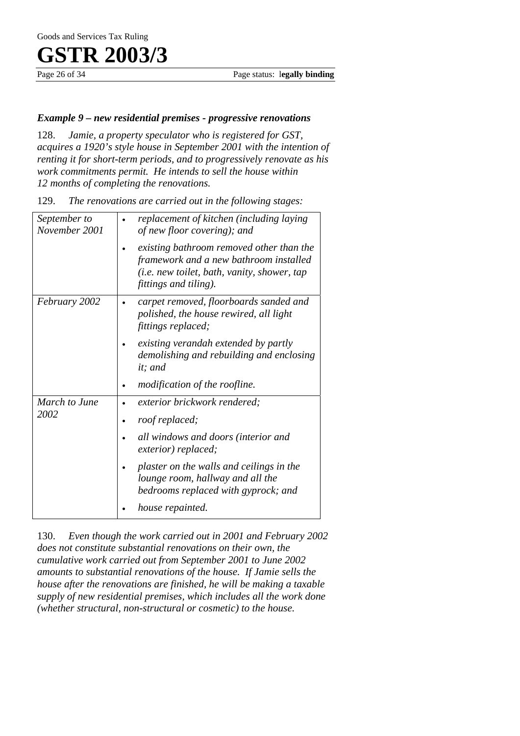#### *Example 9 – new residential premises - progressive renovations*

128. *Jamie, a property speculator who is registered for GST, acquires a 1920's style house in September 2001 with the intention of renting it for short-term periods, and to progressively renovate as his work commitments permit. He intends to sell the house within 12 months of completing the renovations.* 

| September to<br>November 2001 | replacement of kitchen (including laying<br>of new floor covering); and                                                                                    |
|-------------------------------|------------------------------------------------------------------------------------------------------------------------------------------------------------|
|                               | existing bathroom removed other than the<br>framework and a new bathroom installed<br>(i.e. new toilet, bath, vanity, shower, tap<br>fittings and tiling). |
| February 2002                 | carpet removed, floorboards sanded and<br>polished, the house rewired, all light<br>fittings replaced;                                                     |
|                               | existing verandah extended by partly<br>demolishing and rebuilding and enclosing<br>it; and                                                                |
|                               | modification of the roofline.                                                                                                                              |
| March to June                 | exterior brickwork rendered;                                                                                                                               |
| 2002                          | roof replaced;                                                                                                                                             |
|                               | all windows and doors (interior and<br>exterior) replaced;                                                                                                 |
|                               | plaster on the walls and ceilings in the<br>lounge room, hallway and all the<br>bedrooms replaced with gyprock; and                                        |
|                               | house repainted.                                                                                                                                           |

129. *The renovations are carried out in the following stages:* 

130. *Even though the work carried out in 2001 and February 2002 does not constitute substantial renovations on their own, the cumulative work carried out from September 2001 to June 2002 amounts to substantial renovations of the house. If Jamie sells the house after the renovations are finished, he will be making a taxable supply of new residential premises, which includes all the work done (whether structural, non-structural or cosmetic) to the house.*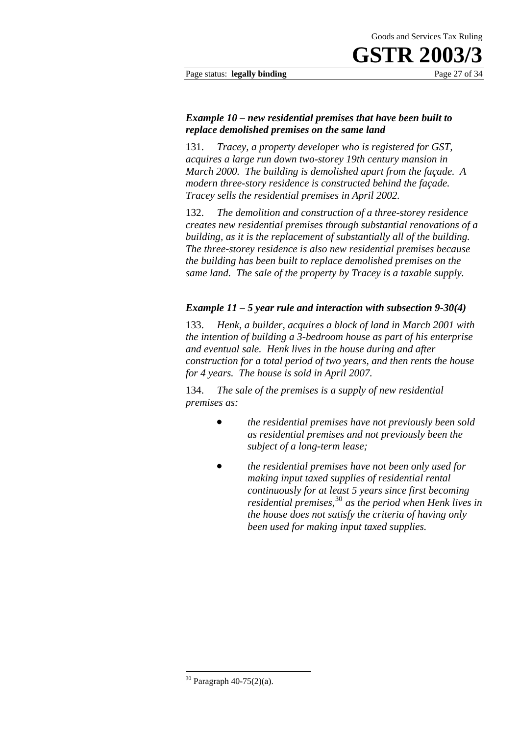Page status: **legally binding** Page 27 of 34

#### *Example 10 – new residential premises that have been built to replace demolished premises on the same land*

131. *Tracey, a property developer who is registered for GST, acquires a large run down two-storey 19th century mansion in March 2000. The building is demolished apart from the façade. A modern three-story residence is constructed behind the façade. Tracey sells the residential premises in April 2002.* 

132. *The demolition and construction of a three-storey residence creates new residential premises through substantial renovations of a building, as it is the replacement of substantially all of the building. The three-storey residence is also new residential premises because the building has been built to replace demolished premises on the same land. The sale of the property by Tracey is a taxable supply.*

#### *Example 11 – 5 year rule and interaction with subsection 9-30(4)*

133. *Henk, a builder, acquires a block of land in March 2001 with the intention of building a 3-bedroom house as part of his enterprise and eventual sale. Henk lives in the house during and after construction for a total period of two years, and then rents the house for 4 years. The house is sold in April 2007.* 

134. *The sale of the premises is a supply of new residential premises as:* 

- *the residential premises have not previously been sold as residential premises and not previously been the subject of a long-term lease;*
- *the residential premises have not been only used for making input taxed supplies of residential rental continuously for at least 5 years since first becoming residential premises,*<sup>30</sup> *as the period when Henk lives in the house does not satisfy the criteria of having only been used for making input taxed supplies.*

<sup>30</sup> Paragraph 40-75(2)(a).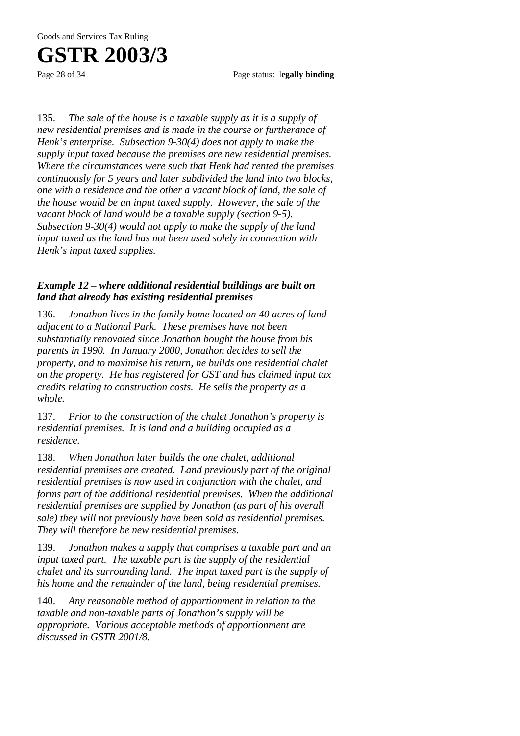Page 28 of 34 Page status: l**egally binding**

135. *The sale of the house is a taxable supply as it is a supply of new residential premises and is made in the course or furtherance of Henk's enterprise. Subsection 9-30(4) does not apply to make the supply input taxed because the premises are new residential premises. Where the circumstances were such that Henk had rented the premises continuously for 5 years and later subdivided the land into two blocks, one with a residence and the other a vacant block of land, the sale of the house would be an input taxed supply. However, the sale of the vacant block of land would be a taxable supply (section 9-5). Subsection 9-30(4) would not apply to make the supply of the land input taxed as the land has not been used solely in connection with Henk's input taxed supplies.* 

### *Example 12 – where additional residential buildings are built on land that already has existing residential premises*

136. *Jonathon lives in the family home located on 40 acres of land adjacent to a National Park. These premises have not been substantially renovated since Jonathon bought the house from his parents in 1990. In January 2000, Jonathon decides to sell the property, and to maximise his return, he builds one residential chalet on the property. He has registered for GST and has claimed input tax credits relating to construction costs. He sells the property as a whole.* 

137. *Prior to the construction of the chalet Jonathon's property is residential premises. It is land and a building occupied as a residence.* 

138. *When Jonathon later builds the one chalet, additional residential premises are created. Land previously part of the original residential premises is now used in conjunction with the chalet, and forms part of the additional residential premises. When the additional residential premises are supplied by Jonathon (as part of his overall sale) they will not previously have been sold as residential premises. They will therefore be new residential premises.* 

139. *Jonathon makes a supply that comprises a taxable part and an input taxed part. The taxable part is the supply of the residential chalet and its surrounding land. The input taxed part is the supply of his home and the remainder of the land, being residential premises.* 

140. *Any reasonable method of apportionment in relation to the taxable and non-taxable parts of Jonathon's supply will be appropriate. Various acceptable methods of apportionment are discussed in GSTR 2001/8.*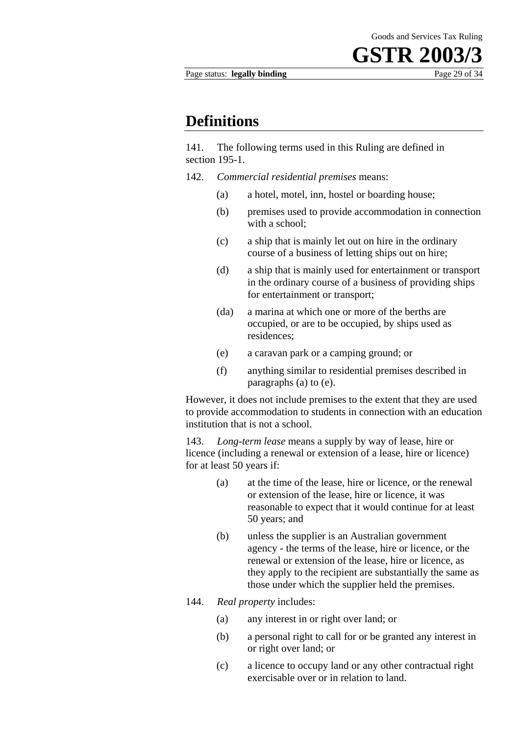Page status: **legally binding** Page 29 of 34

### **Definitions**

141. The following terms used in this Ruling are defined in section 195-1.

- 142. *Commercial residential premises* means:
	- (a) a hotel, motel, inn, hostel or boarding house;
	- (b) premises used to provide accommodation in connection with a school;
	- (c) a ship that is mainly let out on hire in the ordinary course of a business of letting ships out on hire;
	- (d) a ship that is mainly used for entertainment or transport in the ordinary course of a business of providing ships for entertainment or transport;
	- (da) a marina at which one or more of the berths are occupied, or are to be occupied, by ships used as residences;
	- (e) a caravan park or a camping ground; or
	- (f) anything similar to residential premises described in paragraphs (a) to (e).

However, it does not include premises to the extent that they are used to provide accommodation to students in connection with an education institution that is not a school.

143. *Long-term lease* means a supply by way of lease, hire or licence (including a renewal or extension of a lease, hire or licence) for at least 50 years if:

- (a) at the time of the lease, hire or licence, or the renewal or extension of the lease, hire or licence, it was reasonable to expect that it would continue for at least 50 years; and
- (b) unless the supplier is an Australian government agency - the terms of the lease, hire or licence, or the renewal or extension of the lease, hire or licence, as they apply to the recipient are substantially the same as those under which the supplier held the premises.
- 144. *Real property* includes:
	- (a) any interest in or right over land; or
	- (b) a personal right to call for or be granted any interest in or right over land; or
	- (c) a licence to occupy land or any other contractual right exercisable over or in relation to land.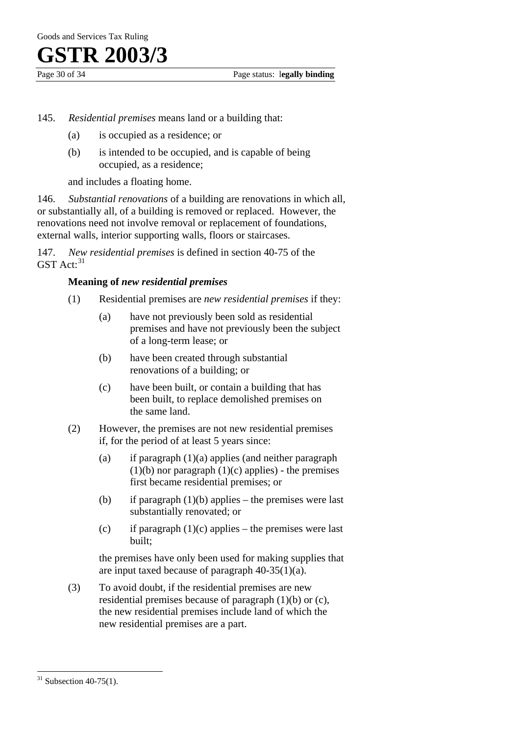- 145. *Residential premises* means land or a building that:
	- (a) is occupied as a residence; or
	- (b) is intended to be occupied, and is capable of being occupied, as a residence;

and includes a floating home.

146. *Substantial renovations* of a building are renovations in which all, or substantially all, of a building is removed or replaced. However, the renovations need not involve removal or replacement of foundations, external walls, interior supporting walls, floors or staircases.

147. *New residential premises* is defined in section 40-75 of the  $GST$  Act:  $31$ 

#### **Meaning of** *new residential premises*

- (1) Residential premises are *new residential premises* if they:
	- (a) have not previously been sold as residential premises and have not previously been the subject of a long-term lease; or
	- (b) have been created through substantial renovations of a building; or
	- (c) have been built, or contain a building that has been built, to replace demolished premises on the same land.
- (2) However, the premises are not new residential premises if, for the period of at least 5 years since:
	- (a) if paragraph  $(1)(a)$  applies (and neither paragraph  $(1)(b)$  nor paragraph  $(1)(c)$  applies) - the premises first became residential premises; or
	- (b) if paragraph  $(1)(b)$  applies the premises were last substantially renovated; or
	- (c) if paragraph  $(1)(c)$  applies the premises were last built;

the premises have only been used for making supplies that are input taxed because of paragraph 40-35(1)(a).

(3) To avoid doubt, if the residential premises are new residential premises because of paragraph (1)(b) or (c), the new residential premises include land of which the new residential premises are a part.

 $\overline{a}$ 

 $31$  Subsection 40-75(1).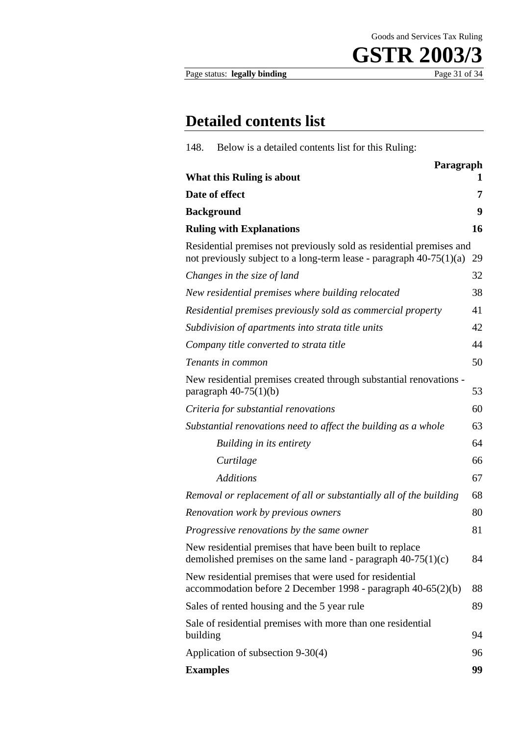Goods and Services Tax Ruling



Page status: **legally binding** 

### **Detailed contents list**

| Below is a detailed contents list for this Ruling:<br>148.                                                                                    |           |
|-----------------------------------------------------------------------------------------------------------------------------------------------|-----------|
|                                                                                                                                               | Paragraph |
| What this Ruling is about                                                                                                                     | 1         |
| Date of effect                                                                                                                                | 7         |
| <b>Background</b>                                                                                                                             | 9         |
| <b>Ruling with Explanations</b>                                                                                                               | 16        |
| Residential premises not previously sold as residential premises and<br>not previously subject to a long-term lease - paragraph $40-75(1)(a)$ | 29        |
| Changes in the size of land                                                                                                                   | 32        |
| New residential premises where building relocated                                                                                             | 38        |
| Residential premises previously sold as commercial property                                                                                   | 41        |
| Subdivision of apartments into strata title units                                                                                             | 42        |
| Company title converted to strata title                                                                                                       | 44        |
| Tenants in common                                                                                                                             | 50        |
| New residential premises created through substantial renovations -<br>paragraph $40-75(1)(b)$                                                 | 53        |
| Criteria for substantial renovations                                                                                                          | 60        |
| Substantial renovations need to affect the building as a whole                                                                                | 63        |
| Building in its entirety                                                                                                                      | 64        |
| Curtilage                                                                                                                                     | 66        |
| <b>Additions</b>                                                                                                                              | 67        |
| Removal or replacement of all or substantially all of the building                                                                            | 68        |
| Renovation work by previous owners                                                                                                            | 80        |
| Progressive renovations by the same owner                                                                                                     | 81        |
| New residential premises that have been built to replace<br>demolished premises on the same land - paragraph $40-75(1)(c)$                    | 84        |
| New residential premises that were used for residential<br>accommodation before 2 December 1998 - paragraph 40-65(2)(b)                       | 88        |
| Sales of rented housing and the 5 year rule                                                                                                   | 89        |
| Sale of residential premises with more than one residential<br>building                                                                       | 94        |
| Application of subsection 9-30(4)                                                                                                             | 96        |
| <b>Examples</b>                                                                                                                               | 99        |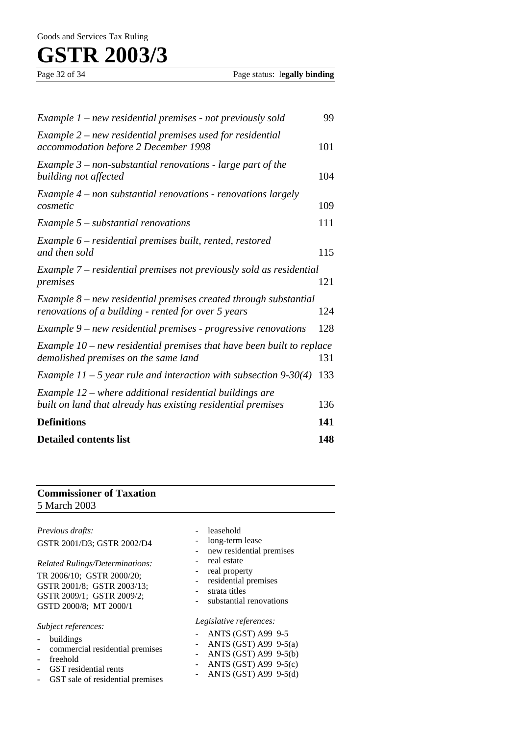| Example $1$ – new residential premises - not previously sold                                                            | 99  |
|-------------------------------------------------------------------------------------------------------------------------|-----|
| Example $2$ – new residential premises used for residential<br>accommodation before 2 December 1998                     | 101 |
| Example $3$ – non-substantial renovations - large part of the<br>building not affected                                  | 104 |
| Example 4 - non substantial renovations - renovations largely<br>cosmetic                                               | 109 |
| Example $5$ – substantial renovations                                                                                   | 111 |
| Example 6 – residential premises built, rented, restored<br>and then sold                                               | 115 |
| Example 7 – residential premises not previously sold as residential<br>premises                                         | 121 |
| Example 8 – new residential premises created through substantial<br>renovations of a building - rented for over 5 years | 124 |
| Example $9$ – new residential premises - progressive renovations                                                        | 128 |
| Example $10$ – new residential premises that have been built to replace<br>demolished premises on the same land         | 131 |
| Example $11 - 5$ year rule and interaction with subsection 9-30(4)                                                      | 133 |
| Example 12 – where additional residential buildings are<br>built on land that already has existing residential premises | 136 |
| <b>Definitions</b>                                                                                                      | 141 |
| <b>Detailed contents list</b>                                                                                           | 148 |

### **Commissioner of Taxation** 5 March 2003

| Previous drafts:<br>GSTR 2001/D3; GSTR 2002/D4<br><b>Related Rulings/Determinations:</b><br>TR 2006/10; GSTR 2000/20;<br>GSTR 2001/8; GSTR 2003/13;<br>GSTR 2009/1; GSTR 2009/2;<br>GSTD 2000/8; MT 2000/1 | leasehold<br>long-term lease<br>new residential premises<br>real estate<br>real property<br>residential premises<br>strata titles<br>substantial renovations |
|------------------------------------------------------------------------------------------------------------------------------------------------------------------------------------------------------------|--------------------------------------------------------------------------------------------------------------------------------------------------------------|
| Subject references:<br>buildings<br>commercial residential premises<br>freehold<br>GST residential rents<br>GST sale of residential premises<br>$\overline{\phantom{a}}$                                   | Legislative references:<br>ANTS (GST) A99 9-5<br>ANTS (GST) A99 $9-5(a)$<br>ANTS $(GST)$ A99 9-5(b)<br>ANTS (GST) A99 $9-5(c)$<br>ANTS $(GST)$ A99 9-5(d)    |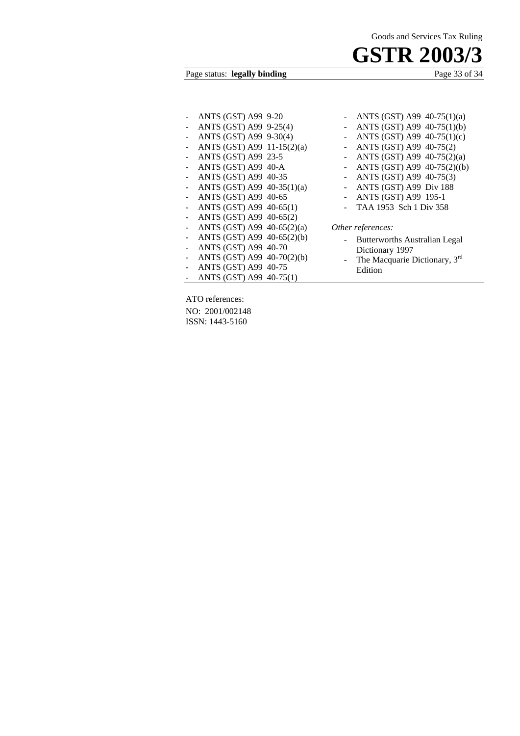Page status: **legally binding** 

| ANTS (GST) A99 9-20        |  |
|----------------------------|--|
| ANTS (GST) A99 9-25(4)     |  |
| ANTS (GST) A99 9-30(4)     |  |
| ANTS (GST) A99 11-15(2)(a) |  |
| ANTS (GST) A99 23-5        |  |
| ANTS (GST) A99 40-A        |  |
| ANTS (GST) A99 40-35       |  |
| ANTS (GST) A99 40-35(1)(a) |  |
| ANTS (GST) A99 40-65       |  |
| ANTS (GST) A99 40-65(1)    |  |
| ANTS (GST) A99 40-65(2)    |  |
| ANTS (GST) A99 40-65(2)(a) |  |
| ANTS (GST) A99 40-65(2)(b) |  |
| ANTS (GST) A99 40-70       |  |
| ANTS (GST) A99 40-70(2)(b) |  |
| ANTS (GST) A99 40-75       |  |
| ANTS (GST) A99 40-75(1)    |  |

| ANTS (GST) A99 40-75(1)(a)  |
|-----------------------------|
| ANTS (GST) A99 40-75(1)(b)  |
| ANTS (GST) A99 40-75(1)(c)  |
| ANTS (GST) A99 40-75(2)     |
| ANTS (GST) A99 40-75(2)(a)  |
| ANTS (GST) A99 40-75(2)((b) |
| ANTS (GST) A99 40-75(3)     |
| ANTS (GST) A99 Div 188      |
| ANTS (GST) A99 195-1        |
| TAA 1953 Sch 1 Div 358      |
|                             |

#### *Other references:*

- Butterworths Australian Legal Dictionary 1997
- The Macquarie Dictionary, 3<sup>rd</sup> Edition

ATO references: NO: 2001/002148 ISSN: 1443-5160